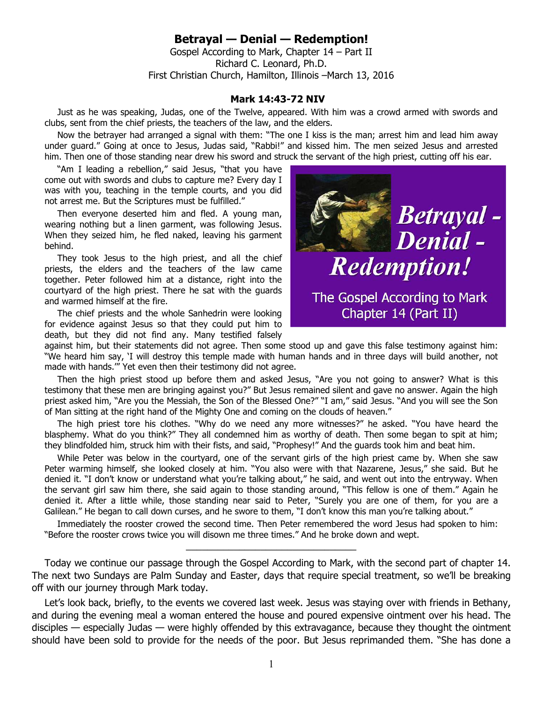## **Betrayal — Denial — Redemption!**

Gospel According to Mark, Chapter 14 – Part II Richard C. Leonard, Ph.D. First Christian Church, Hamilton, Illinois –March 13, 2016

## **Mark 14:43-72 NIV**

Just as he was speaking, Judas, one of the Twelve, appeared. With him was a crowd armed with swords and clubs, sent from the chief priests, the teachers of the law, and the elders.

Now the betrayer had arranged a signal with them: "The one I kiss is the man; arrest him and lead him away under guard." Going at once to Jesus, Judas said, "Rabbi!" and kissed him. The men seized Jesus and arrested him. Then one of those standing near drew his sword and struck the servant of the high priest, cutting off his ear.

"Am I leading a rebellion," said Jesus, "that you have come out with swords and clubs to capture me? Every day I was with you, teaching in the temple courts, and you did not arrest me. But the Scriptures must be fulfilled."

Then everyone deserted him and fled. A young man, wearing nothing but a linen garment, was following Jesus. When they seized him, he fled naked, leaving his garment behind.

They took Jesus to the high priest, and all the chief priests, the elders and the teachers of the law came together. Peter followed him at a distance, right into the courtyard of the high priest. There he sat with the guards and warmed himself at the fire.

The chief priests and the whole Sanhedrin were looking for evidence against Jesus so that they could put him to death, but they did not find any. Many testified falsely



against him, but their statements did not agree. Then some stood up and gave this false testimony against him: "We heard him say, 'I will destroy this temple made with human hands and in three days will build another, not made with hands.'" Yet even then their testimony did not agree.

Then the high priest stood up before them and asked Jesus, "Are you not going to answer? What is this testimony that these men are bringing against you?" But Jesus remained silent and gave no answer. Again the high priest asked him, "Are you the Messiah, the Son of the Blessed One?" "I am," said Jesus. "And you will see the Son of Man sitting at the right hand of the Mighty One and coming on the clouds of heaven."

The high priest tore his clothes. "Why do we need any more witnesses?" he asked. "You have heard the blasphemy. What do you think?" They all condemned him as worthy of death. Then some began to spit at him; they blindfolded him, struck him with their fists, and said, "Prophesy!" And the guards took him and beat him.

While Peter was below in the courtyard, one of the servant girls of the high priest came by. When she saw Peter warming himself, she looked closely at him. "You also were with that Nazarene, Jesus," she said. But he denied it. "I don't know or understand what you're talking about," he said, and went out into the entryway. When the servant girl saw him there, she said again to those standing around, "This fellow is one of them." Again he denied it. After a little while, those standing near said to Peter, "Surely you are one of them, for you are a Galilean." He began to call down curses, and he swore to them, "I don't know this man you're talking about."

Immediately the rooster crowed the second time. Then Peter remembered the word Jesus had spoken to him: "Before the rooster crows twice you will disown me three times." And he broke down and wept.

\_\_\_\_\_\_\_\_\_\_\_\_\_\_\_\_\_\_\_\_\_\_\_\_\_\_\_\_\_\_\_\_

Today we continue our passage through the Gospel According to Mark, with the second part of chapter 14. The next two Sundays are Palm Sunday and Easter, days that require special treatment, so we'll be breaking off with our journey through Mark today.

Let's look back, briefly, to the events we covered last week. Jesus was staying over with friends in Bethany, and during the evening meal a woman entered the house and poured expensive ointment over his head. The disciples — especially Judas — were highly offended by this extravagance, because they thought the ointment should have been sold to provide for the needs of the poor. But Jesus reprimanded them. "She has done a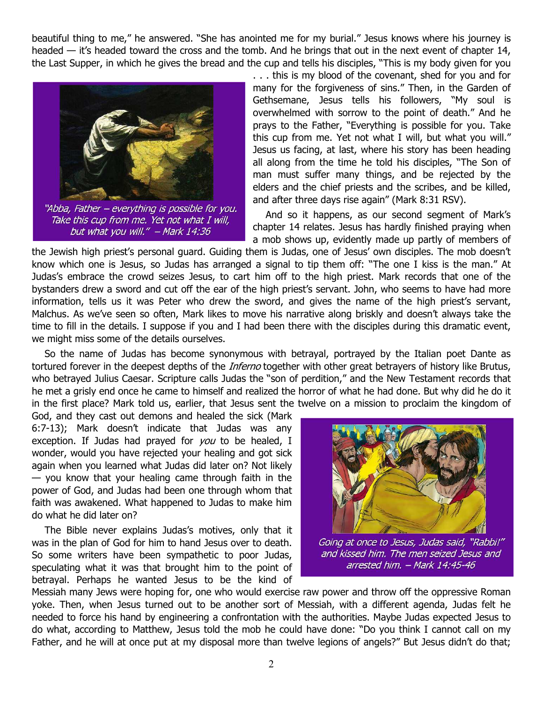beautiful thing to me," he answered. "She has anointed me for my burial." Jesus knows where his journey is headed — it's headed toward the cross and the tomb. And he brings that out in the next event of chapter 14, the Last Supper, in which he gives the bread and the cup and tells his disciples, "This is my body given for you



"Abba, Father - everything is possible for you. Take this cup from me. Yet not what I will, but what you will." - Mark 14:36

. . . this is my blood of the covenant, shed for you and for many for the forgiveness of sins." Then, in the Garden of Gethsemane, Jesus tells his followers, "My soul is overwhelmed with sorrow to the point of death." And he prays to the Father, "Everything is possible for you. Take this cup from me. Yet not what I will, but what you will." Jesus us facing, at last, where his story has been heading all along from the time he told his disciples, "The Son of man must suffer many things, and be rejected by the elders and the chief priests and the scribes, and be killed, and after three days rise again" (Mark 8:31 RSV).

And so it happens, as our second segment of Mark's chapter 14 relates. Jesus has hardly finished praying when a mob shows up, evidently made up partly of members of

the Jewish high priest's personal guard. Guiding them is Judas, one of Jesus' own disciples. The mob doesn't know which one is Jesus, so Judas has arranged a signal to tip them off: "The one I kiss is the man." At Judas's embrace the crowd seizes Jesus, to cart him off to the high priest. Mark records that one of the bystanders drew a sword and cut off the ear of the high priest's servant. John, who seems to have had more information, tells us it was Peter who drew the sword, and gives the name of the high priest's servant, Malchus. As we've seen so often, Mark likes to move his narrative along briskly and doesn't always take the time to fill in the details. I suppose if you and I had been there with the disciples during this dramatic event, we might miss some of the details ourselves.

So the name of Judas has become synonymous with betrayal, portrayed by the Italian poet Dante as tortured forever in the deepest depths of the *Inferno* together with other great betrayers of history like Brutus, who betrayed Julius Caesar. Scripture calls Judas the "son of perdition," and the New Testament records that he met a grisly end once he came to himself and realized the horror of what he had done. But why did he do it in the first place? Mark told us, earlier, that Jesus sent the twelve on a mission to proclaim the kingdom of

God, and they cast out demons and healed the sick (Mark 6:7-13); Mark doesn't indicate that Judas was any exception. If Judas had prayed for you to be healed, I wonder, would you have rejected your healing and got sick again when you learned what Judas did later on? Not likely — you know that your healing came through faith in the power of God, and Judas had been one through whom that faith was awakened. What happened to Judas to make him do what he did later on?

The Bible never explains Judas's motives, only that it was in the plan of God for him to hand Jesus over to death. So some writers have been sympathetic to poor Judas, speculating what it was that brought him to the point of betrayal. Perhaps he wanted Jesus to be the kind of



Going at once to Jesus, Judas said, "Rabbi!" and kissed him. The men seized Jesus and arrested him. - Mark 14:45-46

Messiah many Jews were hoping for, one who would exercise raw power and throw off the oppressive Roman yoke. Then, when Jesus turned out to be another sort of Messiah, with a different agenda, Judas felt he needed to force his hand by engineering a confrontation with the authorities. Maybe Judas expected Jesus to do what, according to Matthew, Jesus told the mob he could have done: "Do you think I cannot call on my Father, and he will at once put at my disposal more than twelve legions of angels?" But Jesus didn't do that;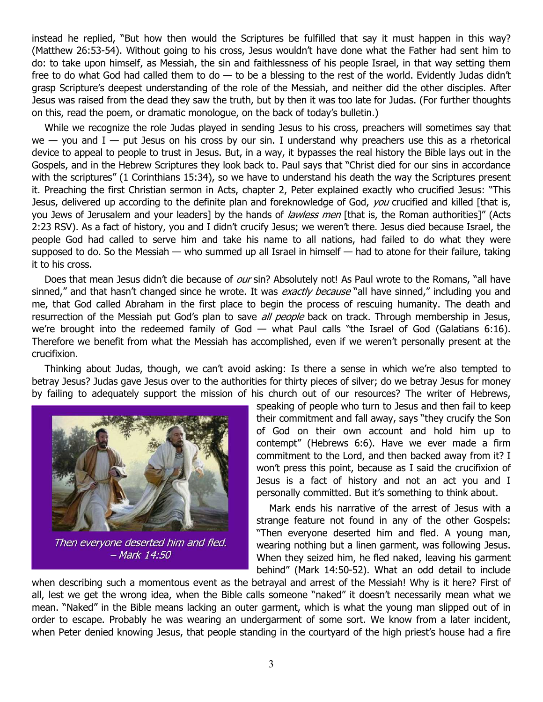instead he replied, "But how then would the Scriptures be fulfilled that say it must happen in this way? (Matthew 26:53-54). Without going to his cross, Jesus wouldn't have done what the Father had sent him to do: to take upon himself, as Messiah, the sin and faithlessness of his people Israel, in that way setting them free to do what God had called them to do — to be a blessing to the rest of the world. Evidently Judas didn't grasp Scripture's deepest understanding of the role of the Messiah, and neither did the other disciples. After Jesus was raised from the dead they saw the truth, but by then it was too late for Judas. (For further thoughts on this, read the poem, or dramatic monologue, on the back of today's bulletin.)

While we recognize the role Judas played in sending Jesus to his cross, preachers will sometimes say that  $we - you$  and I  $-$  put Jesus on his cross by our sin. I understand why preachers use this as a rhetorical device to appeal to people to trust in Jesus. But, in a way, it bypasses the real history the Bible lays out in the Gospels, and in the Hebrew Scriptures they look back to. Paul says that "Christ died for our sins in accordance with the scriptures" (1 Corinthians 15:34), so we have to understand his death the way the Scriptures present it. Preaching the first Christian sermon in Acts, chapter 2, Peter explained exactly who crucified Jesus: "This Jesus, delivered up according to the definite plan and foreknowledge of God, you crucified and killed [that is, you Jews of Jerusalem and your leaders] by the hands of *lawless men* [that is, the Roman authorities]" (Acts 2:23 RSV). As a fact of history, you and I didn't crucify Jesus; we weren't there. Jesus died because Israel, the people God had called to serve him and take his name to all nations, had failed to do what they were supposed to do. So the Messiah — who summed up all Israel in himself — had to atone for their failure, taking it to his cross.

Does that mean Jesus didn't die because of our sin? Absolutely not! As Paul wrote to the Romans, "all have sinned," and that hasn't changed since he wrote. It was *exactly because* "all have sinned," including you and me, that God called Abraham in the first place to begin the process of rescuing humanity. The death and resurrection of the Messiah put God's plan to save *all people* back on track. Through membership in Jesus, we're brought into the redeemed family of God — what Paul calls "the Israel of God (Galatians 6:16). Therefore we benefit from what the Messiah has accomplished, even if we weren't personally present at the crucifixion.

Thinking about Judas, though, we can't avoid asking: Is there a sense in which we're also tempted to betray Jesus? Judas gave Jesus over to the authorities for thirty pieces of silver; do we betray Jesus for money by failing to adequately support the mission of his church out of our resources? The writer of Hebrews,



Then everyone deserted him and fled. - Mark 14:50

speaking of people who turn to Jesus and then fail to keep their commitment and fall away, says "they crucify the Son of God on their own account and hold him up to contempt" (Hebrews 6:6). Have we ever made a firm commitment to the Lord, and then backed away from it? I won't press this point, because as I said the crucifixion of Jesus is a fact of history and not an act you and I personally committed. But it's something to think about.

Mark ends his narrative of the arrest of Jesus with a strange feature not found in any of the other Gospels: "Then everyone deserted him and fled. A young man, wearing nothing but a linen garment, was following Jesus. When they seized him, he fled naked, leaving his garment behind" (Mark 14:50-52). What an odd detail to include

when describing such a momentous event as the betrayal and arrest of the Messiah! Why is it here? First of all, lest we get the wrong idea, when the Bible calls someone "naked" it doesn't necessarily mean what we mean. "Naked" in the Bible means lacking an outer garment, which is what the young man slipped out of in order to escape. Probably he was wearing an undergarment of some sort. We know from a later incident, when Peter denied knowing Jesus, that people standing in the courtyard of the high priest's house had a fire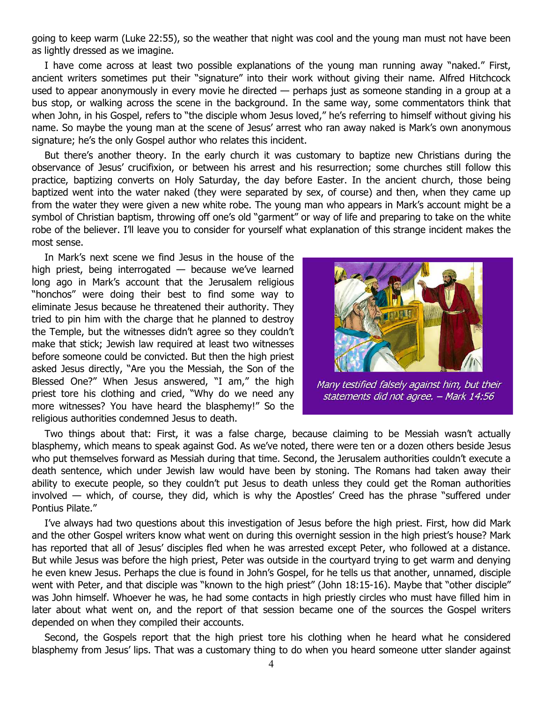going to keep warm (Luke 22:55), so the weather that night was cool and the young man must not have been as lightly dressed as we imagine.

I have come across at least two possible explanations of the young man running away "naked." First, ancient writers sometimes put their "signature" into their work without giving their name. Alfred Hitchcock used to appear anonymously in every movie he directed — perhaps just as someone standing in a group at a bus stop, or walking across the scene in the background. In the same way, some commentators think that when John, in his Gospel, refers to "the disciple whom Jesus loved," he's referring to himself without giving his name. So maybe the young man at the scene of Jesus' arrest who ran away naked is Mark's own anonymous signature; he's the only Gospel author who relates this incident.

But there's another theory. In the early church it was customary to baptize new Christians during the observance of Jesus' crucifixion, or between his arrest and his resurrection; some churches still follow this practice, baptizing converts on Holy Saturday, the day before Easter. In the ancient church, those being baptized went into the water naked (they were separated by sex, of course) and then, when they came up from the water they were given a new white robe. The young man who appears in Mark's account might be a symbol of Christian baptism, throwing off one's old "garment" or way of life and preparing to take on the white robe of the believer. I'll leave you to consider for yourself what explanation of this strange incident makes the most sense.

In Mark's next scene we find Jesus in the house of the high priest, being interrogated — because we've learned long ago in Mark's account that the Jerusalem religious "honchos" were doing their best to find some way to eliminate Jesus because he threatened their authority. They tried to pin him with the charge that he planned to destroy the Temple, but the witnesses didn't agree so they couldn't make that stick; Jewish law required at least two witnesses before someone could be convicted. But then the high priest asked Jesus directly, "Are you the Messiah, the Son of the Blessed One?" When Jesus answered, "I am," the high priest tore his clothing and cried, "Why do we need any more witnesses? You have heard the blasphemy!" So the religious authorities condemned Jesus to death.



Many testified falsely against him, but their statements did not agree. – Mark 14:56

Two things about that: First, it was a false charge, because claiming to be Messiah wasn't actually blasphemy, which means to speak against God. As we've noted, there were ten or a dozen others beside Jesus who put themselves forward as Messiah during that time. Second, the Jerusalem authorities couldn't execute a death sentence, which under Jewish law would have been by stoning. The Romans had taken away their ability to execute people, so they couldn't put Jesus to death unless they could get the Roman authorities involved — which, of course, they did, which is why the Apostles' Creed has the phrase "suffered under Pontius Pilate."

I've always had two questions about this investigation of Jesus before the high priest. First, how did Mark and the other Gospel writers know what went on during this overnight session in the high priest's house? Mark has reported that all of Jesus' disciples fled when he was arrested except Peter, who followed at a distance. But while Jesus was before the high priest, Peter was outside in the courtyard trying to get warm and denying he even knew Jesus. Perhaps the clue is found in John's Gospel, for he tells us that another, unnamed, disciple went with Peter, and that disciple was "known to the high priest" (John 18:15-16). Maybe that "other disciple" was John himself. Whoever he was, he had some contacts in high priestly circles who must have filled him in later about what went on, and the report of that session became one of the sources the Gospel writers depended on when they compiled their accounts.

Second, the Gospels report that the high priest tore his clothing when he heard what he considered blasphemy from Jesus' lips. That was a customary thing to do when you heard someone utter slander against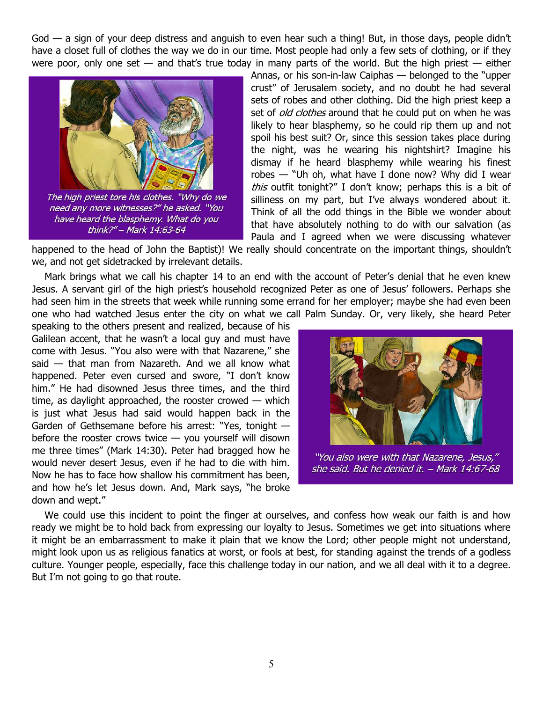God — a sign of your deep distress and anguish to even hear such a thing! But, in those days, people didn't have a closet full of clothes the way we do in our time. Most people had only a few sets of clothing, or if they were poor, only one set  $-$  and that's true today in many parts of the world. But the high priest  $-$  either



think?" - Mark 14:63-64

Annas, or his son-in-law Caiphas — belonged to the "upper crust" of Jerusalem society, and no doubt he had several sets of robes and other clothing. Did the high priest keep a set of *old clothes* around that he could put on when he was likely to hear blasphemy, so he could rip them up and not spoil his best suit? Or, since this session takes place during the night, was he wearing his nightshirt? Imagine his dismay if he heard blasphemy while wearing his finest robes  $-$  "Uh oh, what have I done now? Why did I wear this outfit tonight?" I don't know; perhaps this is a bit of silliness on my part, but I've always wondered about it. Think of all the odd things in the Bible we wonder about that have absolutely nothing to do with our salvation (as Paula and I agreed when we were discussing whatever

happened to the head of John the Baptist)! We really should concentrate on the important things, shouldn't we, and not get sidetracked by irrelevant details.

Mark brings what we call his chapter 14 to an end with the account of Peter's denial that he even knew Jesus. A servant girl of the high priest's household recognized Peter as one of Jesus' followers. Perhaps she had seen him in the streets that week while running some errand for her employer; maybe she had even been one who had watched Jesus enter the city on what we call Palm Sunday. Or, very likely, she heard Peter

speaking to the others present and realized, because of his Galilean accent, that he wasn't a local guy and must have come with Jesus. "You also were with that Nazarene," she said — that man from Nazareth. And we all know what happened. Peter even cursed and swore, "I don't know him." He had disowned Jesus three times, and the third time, as daylight approached, the rooster crowed  $-$  which is just what Jesus had said would happen back in the Garden of Gethsemane before his arrest: "Yes, tonight before the rooster crows twice  $-$  you yourself will disown me three times" (Mark 14:30). Peter had bragged how he would never desert Jesus, even if he had to die with him. Now he has to face how shallow his commitment has been, and how he's let Jesus down. And, Mark says, "he broke down and wept."



she said. But he denied it. - Mark 14:67-68

We could use this incident to point the finger at ourselves, and confess how weak our faith is and how ready we might be to hold back from expressing our loyalty to Jesus. Sometimes we get into situations where it might be an embarrassment to make it plain that we know the Lord; other people might not understand, might look upon us as religious fanatics at worst, or fools at best, for standing against the trends of a godless culture. Younger people, especially, face this challenge today in our nation, and we all deal with it to a degree. But I'm not going to go that route.